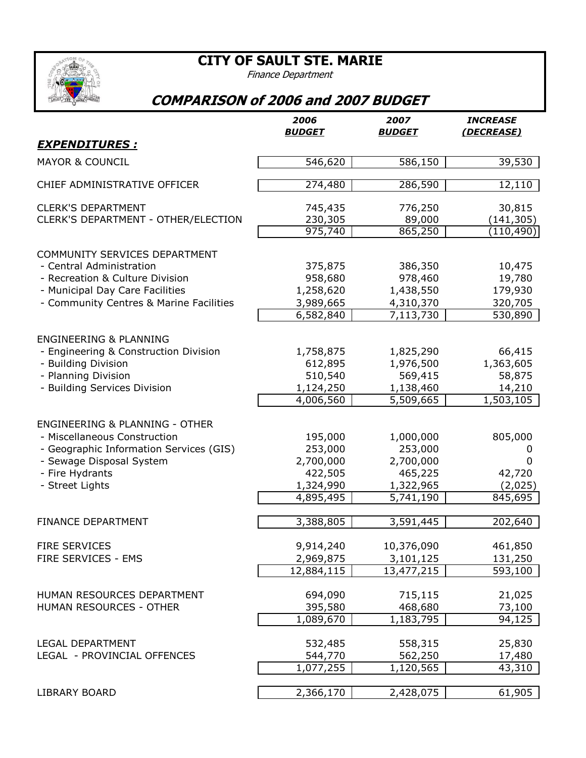**CITY OF SAULT STE. MARIE**

Finance Department



## **COMPARISON of 2006 and 2007 BUDGET**

|                                                                  | 2006<br><b>BUDGET</b> | 2007<br><b>BUDGET</b>   | <b>INCREASE</b><br>(DECREASE) |
|------------------------------------------------------------------|-----------------------|-------------------------|-------------------------------|
| <b>EXPENDITURES:</b>                                             |                       |                         |                               |
| <b>MAYOR &amp; COUNCIL</b>                                       | 546,620               | 586,150                 | 39,530                        |
| CHIEF ADMINISTRATIVE OFFICER                                     | 274,480               | 286,590                 | 12,110                        |
| <b>CLERK'S DEPARTMENT</b><br>CLERK'S DEPARTMENT - OTHER/ELECTION | 745,435               | 776,250                 | 30,815                        |
|                                                                  | 230,305<br>975,740    | 89,000<br>865,250       | (141, 305)<br>(110, 490)      |
| COMMUNITY SERVICES DEPARTMENT                                    |                       |                         |                               |
| - Central Administration                                         | 375,875               | 386,350                 | 10,475                        |
| - Recreation & Culture Division                                  | 958,680               | 978,460                 | 19,780                        |
| - Municipal Day Care Facilities                                  | 1,258,620             | 1,438,550               | 179,930                       |
| - Community Centres & Marine Facilities                          | 3,989,665             | 4,310,370               | 320,705                       |
|                                                                  | 6,582,840             | 7,113,730               | 530,890                       |
| <b>ENGINEERING &amp; PLANNING</b>                                |                       |                         |                               |
| - Engineering & Construction Division                            | 1,758,875             | 1,825,290               | 66,415                        |
| - Building Division                                              | 612,895               | 1,976,500               | 1,363,605                     |
| - Planning Division                                              | 510,540               | 569,415                 | 58,875                        |
| - Building Services Division                                     | 1,124,250             | 1,138,460               | 14,210                        |
|                                                                  | 4,006,560             | 5,509,665               | 1,503,105                     |
| <b>ENGINEERING &amp; PLANNING - OTHER</b>                        |                       |                         |                               |
| - Miscellaneous Construction                                     | 195,000               | 1,000,000               | 805,000                       |
| - Geographic Information Services (GIS)                          | 253,000               | 253,000                 | 0                             |
| - Sewage Disposal System                                         | 2,700,000             | 2,700,000               | 0                             |
| - Fire Hydrants                                                  | 422,505               | 465,225                 | 42,720                        |
| - Street Lights                                                  | 1,324,990             | 1,322,965               | (2,025)                       |
|                                                                  | 4,895,495             | 5,741,190               | 845,695                       |
| <b>FINANCE DEPARTMENT</b>                                        | 3,388,805             | 3,591,445               | 202,640                       |
| FIRE SERVICES                                                    | 9,914,240             | 10,376,090              | 461,850                       |
| FIRE SERVICES - EMS                                              | 2,969,875             | 3,101,125               | 131,250                       |
|                                                                  | 12,884,115            | $\overline{13,}477,215$ | 593,100                       |
| HUMAN RESOURCES DEPARTMENT                                       | 694,090               | 715,115                 | 21,025                        |
| HUMAN RESOURCES - OTHER                                          | 395,580               | 468,680                 | 73,100                        |
|                                                                  | 1,089,670             | 1,183,795               | 94,125                        |
| <b>LEGAL DEPARTMENT</b>                                          | 532,485               | 558,315                 | 25,830                        |
| LEGAL - PROVINCIAL OFFENCES                                      | 544,770               | 562,250                 | 17,480                        |
|                                                                  | 1,077,255             | 1,120,565               | 43,310                        |
| <b>LIBRARY BOARD</b>                                             | 2,366,170             | 2,428,075               | 61,905                        |
|                                                                  |                       |                         |                               |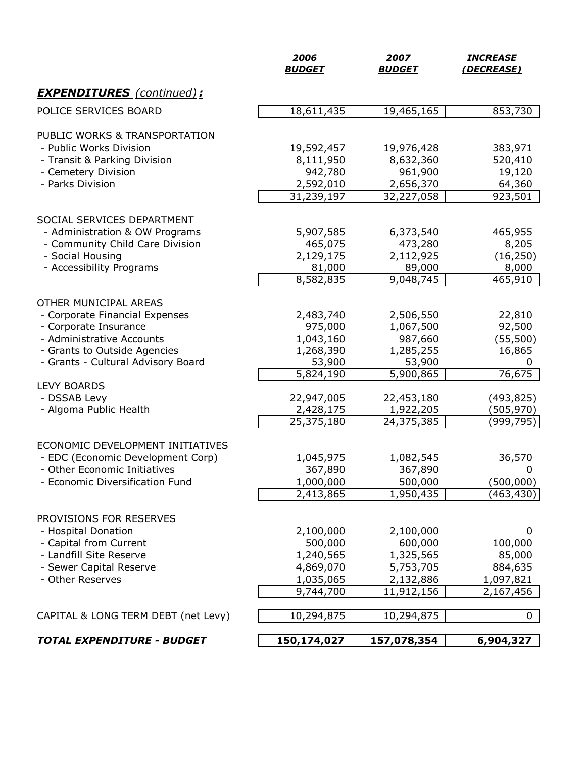|                                                              | 2006<br><b>BUDGET</b>  | 2007<br><b>BUDGET</b> | <b>INCREASE</b><br>(DECREASE) |
|--------------------------------------------------------------|------------------------|-----------------------|-------------------------------|
| <b>EXPENDITURES</b> (continued):                             |                        |                       |                               |
| POLICE SERVICES BOARD                                        | 18,611,435             | 19,465,165            | 853,730                       |
|                                                              |                        |                       |                               |
| PUBLIC WORKS & TRANSPORTATION<br>- Public Works Division     | 19,592,457             | 19,976,428            | 383,971                       |
| - Transit & Parking Division                                 | 8,111,950              | 8,632,360             | 520,410                       |
| - Cemetery Division                                          | 942,780                | 961,900               | 19,120                        |
| - Parks Division                                             | 2,592,010              | 2,656,370             | 64,360                        |
|                                                              | 31,239,197             | 32,227,058            | 923,501                       |
|                                                              |                        |                       |                               |
| SOCIAL SERVICES DEPARTMENT<br>- Administration & OW Programs | 5,907,585              | 6,373,540             | 465,955                       |
| - Community Child Care Division                              | 465,075                | 473,280               | 8,205                         |
| - Social Housing                                             | 2,129,175              | 2,112,925             | (16, 250)                     |
| - Accessibility Programs                                     | 81,000                 | 89,000                | 8,000                         |
|                                                              | 8,582,835              | 9,048,745             | 465,910                       |
|                                                              |                        |                       |                               |
| OTHER MUNICIPAL AREAS<br>- Corporate Financial Expenses      | 2,483,740              | 2,506,550             | 22,810                        |
| - Corporate Insurance                                        | 975,000                | 1,067,500             | 92,500                        |
| - Administrative Accounts                                    | 1,043,160              | 987,660               | (55, 500)                     |
| - Grants to Outside Agencies                                 | 1,268,390              | 1,285,255             | 16,865                        |
| - Grants - Cultural Advisory Board                           | 53,900                 | 53,900                | 0                             |
|                                                              | $\overline{5,824,190}$ | 5,900,865             | 76,675                        |
| <b>LEVY BOARDS</b>                                           |                        |                       |                               |
| - DSSAB Levy                                                 | 22,947,005             | 22,453,180            | (493, 825)                    |
| - Algoma Public Health                                       | 2,428,175              | 1,922,205             | (505, 970)                    |
|                                                              | 25,375,180             | 24,375,385            | (999,795)                     |
| ECONOMIC DEVELOPMENT INITIATIVES                             |                        |                       |                               |
| - EDC (Economic Development Corp)                            | 1,045,975              | 1,082,545             | 36,570                        |
| - Other Economic Initiatives                                 | 367,890                | 367,890               | 0                             |
| - Economic Diversification Fund                              | 1,000,000              | 500,000               | (500,000)                     |
|                                                              | 2,413,865              | 1,950,435             | (463,430)                     |
| PROVISIONS FOR RESERVES                                      |                        |                       |                               |
| - Hospital Donation                                          | 2,100,000              | 2,100,000             | 0                             |
| - Capital from Current                                       | 500,000                | 600,000               | 100,000                       |
| - Landfill Site Reserve                                      | 1,240,565              | 1,325,565             | 85,000                        |
| - Sewer Capital Reserve                                      | 4,869,070              | 5,753,705             | 884,635                       |
| - Other Reserves                                             | 1,035,065              | 2,132,886             | 1,097,821                     |
|                                                              | 9,744,700              | 11,912,156            | 2,167,456                     |
|                                                              |                        |                       | $\mathbf 0$                   |
| CAPITAL & LONG TERM DEBT (net Levy)                          | 10,294,875             | 10,294,875            |                               |
| <b>TOTAL EXPENDITURE - BUDGET</b>                            | 150,174,027            | 157,078,354           | 6,904,327                     |